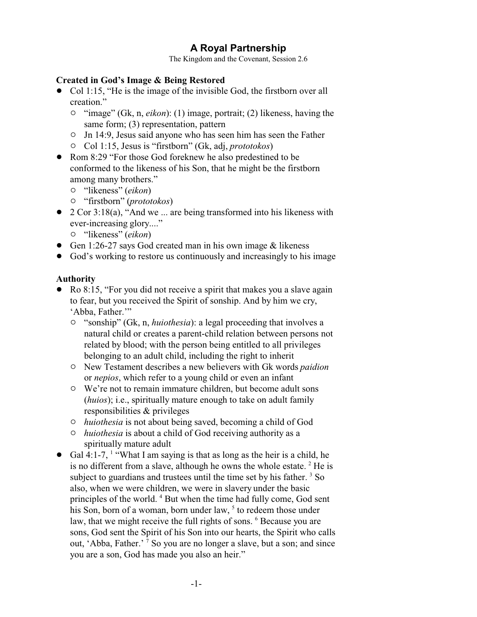# **A Royal Partnership**

The Kingdom and the Covenant, Session 2.6

#### **Created in God's Image & Being Restored**

- Col 1:15, "He is the image of the invisible God, the firstborn over all creation."
	- <sup>o</sup> "image" (Gk, n, *eikon*): (1) image, portrait; (2) likeness, having the same form; (3) representation, pattern
	- $\circ$  Jn 14:9, Jesus said anyone who has seen him has seen the Father
	- " Col 1:15, Jesus is "firstborn" (Gk, adj, *prototokos*)
- Rom 8:29 "For those God foreknew he also predestined to be conformed to the likeness of his Son, that he might be the firstborn among many brothers."
	- " "likeness" (*eikon*)
	- " "firstborn" (*prototokos*)
- 2 Cor 3:18(a), "And we ... are being transformed into his likeness with ever-increasing glory...."
	- " "likeness" (*eikon*)
- Gen 1:26-27 says God created man in his own image  $&$  likeness
- God's working to restore us continuously and increasingly to his image

## **Authority**

- Ro 8:15, "For you did not receive a spirit that makes you a slave again to fear, but you received the Spirit of sonship. And by him we cry, 'Abba, Father.'"
	- " "sonship" (Gk, n, *huiothesia*): a legal proceeding that involves a natural child or creates a parent-child relation between persons not related by blood; with the person being entitled to all privileges belonging to an adult child, including the right to inherit
	- " New Testament describes a new believers with Gk words *paidion* or *nepios*, which refer to a young child or even an infant
	- $\circ$  We're not to remain immature children, but become adult sons (*huios*); i.e., spiritually mature enough to take on adult family responsibilities & privileges
	- " *huiothesia* is not about being saved, becoming a child of God
	- " *huiothesia* is about a child of God receiving authority as a spiritually mature adult
- Gal 4:1-7, <sup>1</sup> "What I am saying is that as long as the heir is a child, he is no different from a slave, although he owns the whole estate.  $2$  He is subject to guardians and trustees until the time set by his father.  $3$  So also, when we were children, we were in slavery under the basic principles of the world.<sup>4</sup> But when the time had fully come, God sent his Son, born of a woman, born under law, <sup>5</sup> to redeem those under law, that we might receive the full rights of sons. <sup>6</sup> Because you are sons, God sent the Spirit of his Son into our hearts, the Spirit who calls out, 'Abba, Father.' <sup>7</sup> So you are no longer a slave, but a son; and since you are a son, God has made you also an heir."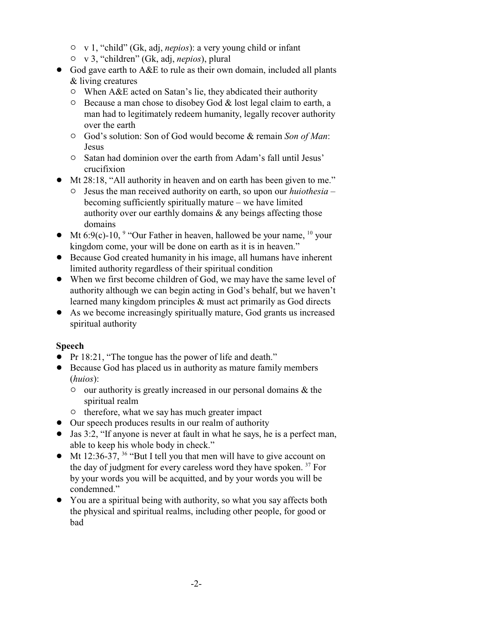- " v 1, "child" (Gk, adj, *nepios*): a very young child or infant
- " v 3, "children" (Gk, adj, *nepios*), plural
- God gave earth to A&E to rule as their own domain, included all plants & living creatures
	- $\circ$  When A&E acted on Satan's lie, they abdicated their authority
	- $\circ$  Because a man chose to disobey God & lost legal claim to earth, a man had to legitimately redeem humanity, legally recover authority over the earth
	- " God's solution: Son of God would become & remain *Son of Man*: Jesus
	- " Satan had dominion over the earth from Adam's fall until Jesus' crucifixion
- Mt 28:18, "All authority in heaven and on earth has been given to me."
	- " Jesus the man received authority on earth, so upon our *huiothesia* becoming sufficiently spiritually mature – we have limited authority over our earthly domains & any beings affecting those domains
- Mt 6:9(c)-10,  $\degree$  "Our Father in heaven, hallowed be your name,  $\degree$  your kingdom come, your will be done on earth as it is in heaven."
- ! Because God created humanity in his image, all humans have inherent limited authority regardless of their spiritual condition
- When we first become children of God, we may have the same level of authority although we can begin acting in God's behalf, but we haven't learned many kingdom principles & must act primarily as God directs
- As we become increasingly spiritually mature, God grants us increased spiritual authority

## **Speech**

- Pr 18:21, "The tongue has the power of life and death."
- ! Because God has placed us in authority as mature family members (*huios*):
	- $\circ$  our authority is greatly increased in our personal domains & the spiritual realm
	- $\circ$  therefore, what we say has much greater impact
- Our speech produces results in our realm of authority
- ! Jas 3:2, "If anyone is never at fault in what he says, he is a perfect man, able to keep his whole body in check."
- Mt 12:36-37,  $36$  "But I tell you that men will have to give account on the day of judgment for every careless word they have spoken.<sup>37</sup> For by your words you will be acquitted, and by your words you will be condemned."
- ! You are a spiritual being with authority, so what you say affects both the physical and spiritual realms, including other people, for good or bad